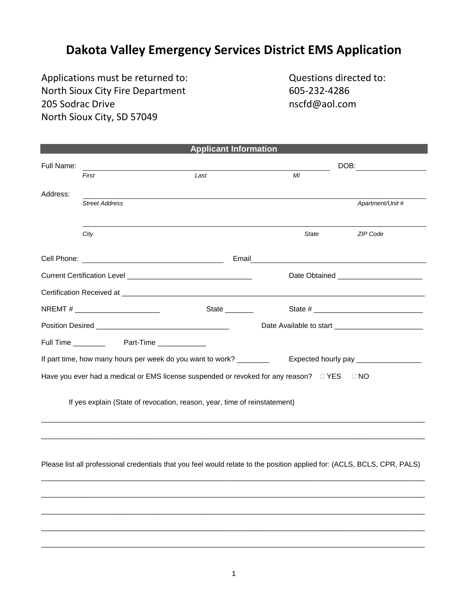## **Dakota Valley Emergency Services District EMS Application**

Applications must be returned to: Questions directed to: North Sioux City Fire Department<br>205 Sodrac Drive and Sioux Solid Report of the Solid Resolution<br>805-232-4286 205 Sodrac Drive North Sioux City, SD 57049

|            |                                    | <b>Applicant Information</b>                                                                                             |              |                                         |
|------------|------------------------------------|--------------------------------------------------------------------------------------------------------------------------|--------------|-----------------------------------------|
| Full Name: |                                    |                                                                                                                          | DOB:         |                                         |
|            | First                              | Last                                                                                                                     | MI           |                                         |
| Address:   |                                    |                                                                                                                          |              |                                         |
|            | <b>Street Address</b>              |                                                                                                                          |              | Apartment/Unit #                        |
|            |                                    |                                                                                                                          |              |                                         |
|            | City                               |                                                                                                                          | <b>State</b> | ZIP Code                                |
|            |                                    | Email                                                                                                                    |              |                                         |
|            |                                    |                                                                                                                          |              | Date Obtained _________________________ |
|            |                                    |                                                                                                                          |              |                                         |
|            | NREMT # __________________________ | State $\frac{1}{\sqrt{1-\frac{1}{2}}\cdot\frac{1}{2}}$                                                                   |              |                                         |
|            |                                    |                                                                                                                          |              |                                         |
|            |                                    |                                                                                                                          |              |                                         |
|            |                                    | If part time, how many hours per week do you want to work? ________                                                      |              | Expected hourly pay __________________  |
|            |                                    | Have you ever had a medical or EMS license suspended or revoked for any reason? $\Box$ YES                               |              | $\Box$ NO                               |
|            |                                    | If yes explain (State of revocation, reason, year, time of reinstatement)                                                |              |                                         |
|            |                                    | Please list all professional credentials that you feel would relate to the position applied for: (ACLS, BCLS, CPR, PALS) |              |                                         |
|            |                                    |                                                                                                                          |              |                                         |

 $\overline{\phantom{a}}$  ,  $\overline{\phantom{a}}$  ,  $\overline{\phantom{a}}$  ,  $\overline{\phantom{a}}$  ,  $\overline{\phantom{a}}$  ,  $\overline{\phantom{a}}$  ,  $\overline{\phantom{a}}$  ,  $\overline{\phantom{a}}$  ,  $\overline{\phantom{a}}$  ,  $\overline{\phantom{a}}$  ,  $\overline{\phantom{a}}$  ,  $\overline{\phantom{a}}$  ,  $\overline{\phantom{a}}$  ,  $\overline{\phantom{a}}$  ,  $\overline{\phantom{a}}$  ,  $\overline{\phantom{a}}$ 

 $\overline{\phantom{a}}$  ,  $\overline{\phantom{a}}$  ,  $\overline{\phantom{a}}$  ,  $\overline{\phantom{a}}$  ,  $\overline{\phantom{a}}$  ,  $\overline{\phantom{a}}$  ,  $\overline{\phantom{a}}$  ,  $\overline{\phantom{a}}$  ,  $\overline{\phantom{a}}$  ,  $\overline{\phantom{a}}$  ,  $\overline{\phantom{a}}$  ,  $\overline{\phantom{a}}$  ,  $\overline{\phantom{a}}$  ,  $\overline{\phantom{a}}$  ,  $\overline{\phantom{a}}$  ,  $\overline{\phantom{a}}$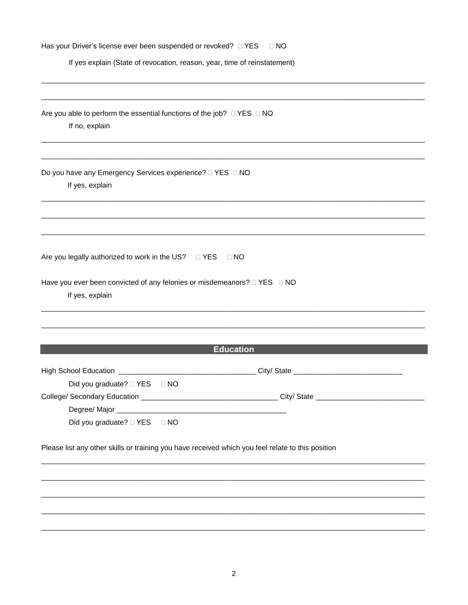| $\Box$ NO                                                                                         |                  |  |  |
|---------------------------------------------------------------------------------------------------|------------------|--|--|
| If yes explain (State of revocation, reason, year, time of reinstatement)                         |                  |  |  |
|                                                                                                   |                  |  |  |
|                                                                                                   |                  |  |  |
| Are you able to perform the essential functions of the job? $\Box$ YES $\Box$ NO                  |                  |  |  |
| If no, explain                                                                                    |                  |  |  |
|                                                                                                   |                  |  |  |
| If yes, explain                                                                                   |                  |  |  |
|                                                                                                   |                  |  |  |
|                                                                                                   |                  |  |  |
|                                                                                                   | $\Box$ NO        |  |  |
| If yes, explain                                                                                   |                  |  |  |
|                                                                                                   |                  |  |  |
|                                                                                                   | <b>Education</b> |  |  |
|                                                                                                   |                  |  |  |
|                                                                                                   |                  |  |  |
| Did you graduate? □ YES □ NO                                                                      |                  |  |  |
|                                                                                                   |                  |  |  |
|                                                                                                   |                  |  |  |
| Did you graduate? □ YES □ NO                                                                      |                  |  |  |
| Please list any other skills or training you have received which you feel relate to this position |                  |  |  |
|                                                                                                   |                  |  |  |
|                                                                                                   |                  |  |  |
|                                                                                                   |                  |  |  |
|                                                                                                   |                  |  |  |
|                                                                                                   |                  |  |  |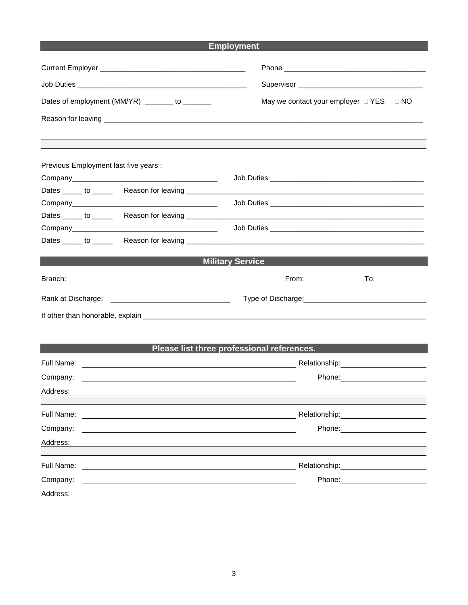## **Employment**

|                                                                           | May we contact your employer $\Box$ YES $\Box$ NO                                                                                                                                                                                  |  |  |
|---------------------------------------------------------------------------|------------------------------------------------------------------------------------------------------------------------------------------------------------------------------------------------------------------------------------|--|--|
| Dates of employment (MM/YR) _______ to _______                            |                                                                                                                                                                                                                                    |  |  |
|                                                                           |                                                                                                                                                                                                                                    |  |  |
| Previous Employment last five years :                                     |                                                                                                                                                                                                                                    |  |  |
|                                                                           |                                                                                                                                                                                                                                    |  |  |
|                                                                           |                                                                                                                                                                                                                                    |  |  |
|                                                                           |                                                                                                                                                                                                                                    |  |  |
|                                                                           |                                                                                                                                                                                                                                    |  |  |
|                                                                           | <b>Job Duties Second Second Second Second Second Second Second Second Second Second Second Second Second Second Second Second Second Second Second Second Second Second Second Second Second Second Second Second Second Secon</b> |  |  |
|                                                                           |                                                                                                                                                                                                                                    |  |  |
|                                                                           | <b>Military Service</b>                                                                                                                                                                                                            |  |  |
|                                                                           | From: $\qquad \qquad$<br>To: $\qquad \qquad$                                                                                                                                                                                       |  |  |
|                                                                           |                                                                                                                                                                                                                                    |  |  |
|                                                                           |                                                                                                                                                                                                                                    |  |  |
|                                                                           |                                                                                                                                                                                                                                    |  |  |
|                                                                           | Please list three professional references.                                                                                                                                                                                         |  |  |
| Full Name:                                                                |                                                                                                                                                                                                                                    |  |  |
| Company:                                                                  |                                                                                                                                                                                                                                    |  |  |
| Address:<br><u> 1989 - Johann Stoff, amerikansk politiker (d. 1989)</u>   |                                                                                                                                                                                                                                    |  |  |
|                                                                           |                                                                                                                                                                                                                                    |  |  |
| Full Name:                                                                |                                                                                                                                                                                                                                    |  |  |
| Company:                                                                  |                                                                                                                                                                                                                                    |  |  |
| Address:                                                                  |                                                                                                                                                                                                                                    |  |  |
| Full Name:                                                                | Relationship: 2000                                                                                                                                                                                                                 |  |  |
| Company:<br><u> 1980 - John Stein, marking and de Brazilian (b. 1980)</u> | Phone: <u>_______________</u>                                                                                                                                                                                                      |  |  |
| Address:                                                                  |                                                                                                                                                                                                                                    |  |  |
|                                                                           |                                                                                                                                                                                                                                    |  |  |